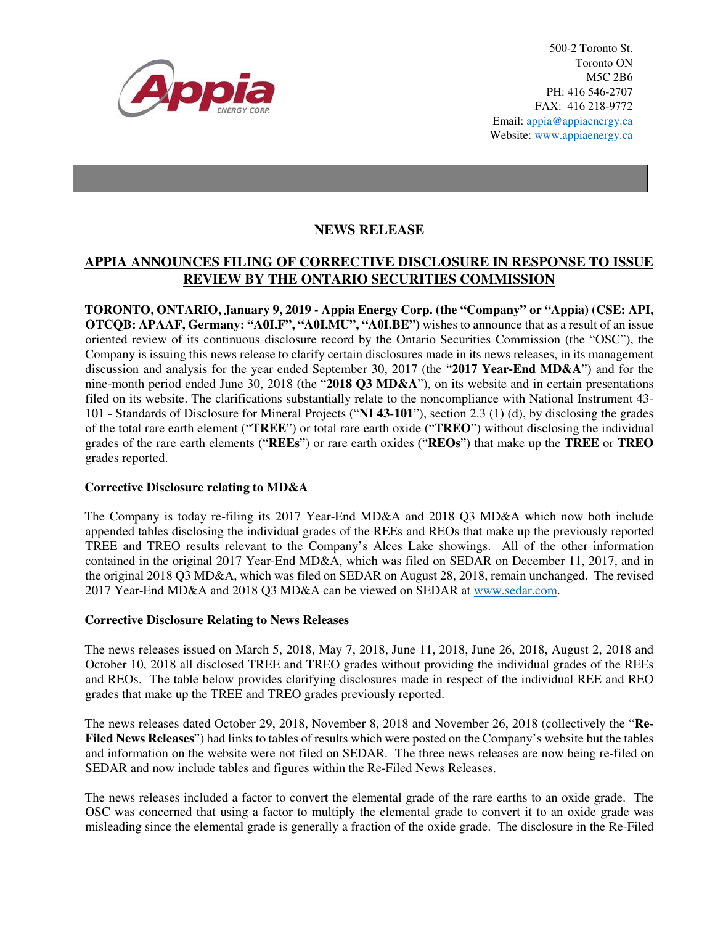

500-2 Toronto St. Toronto ON M5C 2B6 PH: 416 546-2707 FAX: 416 218-9772 Email: appia@appiaenergy.ca Website: www.appiaenergy.ca

## **NEWS RELEASE**

# **APPIA ANNOUNCES FILING OF CORRECTIVE DISCLOSURE IN RESPONSE TO ISSUE REVIEW BY THE ONTARIO SECURITIES COMMISSION**

**TORONTO, ONTARIO, January 9, 2019 - Appia Energy Corp. (the "Company" or "Appia) (CSE: API, OTCQB: APAAF, Germany: "A0I.F", "A0I.MU", "A0I.BE")** wishes to announce that as a result of an issue oriented review of its continuous disclosure record by the Ontario Securities Commission (the "OSC"), the Company is issuing this news release to clarify certain disclosures made in its news releases, in its management discussion and analysis for the year ended September 30, 2017 (the "**2017 Year-End MD&A**") and for the nine-month period ended June 30, 2018 (the "**2018 Q3 MD&A**"), on its website and in certain presentations filed on its website. The clarifications substantially relate to the noncompliance with National Instrument 43- 101 - Standards of Disclosure for Mineral Projects ("**NI 43-101**"), section 2.3 (1) (d), by disclosing the grades of the total rare earth element ("**TREE**") or total rare earth oxide ("**TREO**") without disclosing the individual grades of the rare earth elements ("**REEs**") or rare earth oxides ("**REOs**") that make up the **TREE** or **TREO** grades reported.

#### **Corrective Disclosure relating to MD&A**

The Company is today re-filing its 2017 Year-End MD&A and 2018 Q3 MD&A which now both include appended tables disclosing the individual grades of the REEs and REOs that make up the previously reported TREE and TREO results relevant to the Company's Alces Lake showings. All of the other information contained in the original 2017 Year-End MD&A, which was filed on SEDAR on December 11, 2017, and in the original 2018 Q3 MD&A, which was filed on SEDAR on August 28, 2018, remain unchanged. The revised 2017 Year-End MD&A and 2018 Q3 MD&A can be viewed on SEDAR at www.sedar.com.

#### **Corrective Disclosure Relating to News Releases**

The news releases issued on March 5, 2018, May 7, 2018, June 11, 2018, June 26, 2018, August 2, 2018 and October 10, 2018 all disclosed TREE and TREO grades without providing the individual grades of the REEs and REOs. The table below provides clarifying disclosures made in respect of the individual REE and REO grades that make up the TREE and TREO grades previously reported.

The news releases dated October 29, 2018, November 8, 2018 and November 26, 2018 (collectively the "**Re-Filed News Releases**") had links to tables of results which were posted on the Company's website but the tables and information on the website were not filed on SEDAR. The three news releases are now being re-filed on SEDAR and now include tables and figures within the Re-Filed News Releases.

The news releases included a factor to convert the elemental grade of the rare earths to an oxide grade. The OSC was concerned that using a factor to multiply the elemental grade to convert it to an oxide grade was misleading since the elemental grade is generally a fraction of the oxide grade. The disclosure in the Re-Filed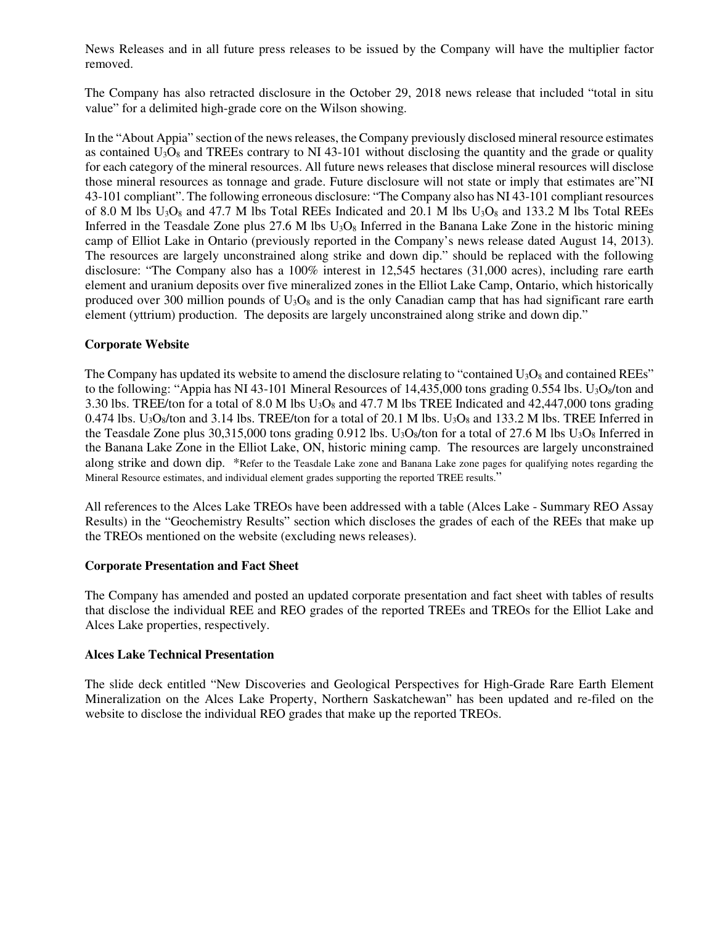News Releases and in all future press releases to be issued by the Company will have the multiplier factor removed.

The Company has also retracted disclosure in the October 29, 2018 news release that included "total in situ value" for a delimited high-grade core on the Wilson showing.

In the "About Appia" section of the news releases, the Company previously disclosed mineral resource estimates as contained  $U_3O_8$  and TREEs contrary to NI 43-101 without disclosing the quantity and the grade or quality for each category of the mineral resources. All future news releases that disclose mineral resources will disclose those mineral resources as tonnage and grade. Future disclosure will not state or imply that estimates are"NI 43-101 compliant". The following erroneous disclosure: "The Company also has NI 43-101 compliant resources of 8.0 M lbs  $U_3O_8$  and 47.7 M lbs Total REEs Indicated and 20.1 M lbs  $U_3O_8$  and 133.2 M lbs Total REEs Inferred in the Teasdale Zone plus 27.6 M lbs  $U_3O_8$  Inferred in the Banana Lake Zone in the historic mining camp of Elliot Lake in Ontario (previously reported in the Company's news release dated August 14, 2013). The resources are largely unconstrained along strike and down dip." should be replaced with the following disclosure: "The Company also has a 100% interest in 12,545 hectares (31,000 acres), including rare earth element and uranium deposits over five mineralized zones in the Elliot Lake Camp, Ontario, which historically produced over 300 million pounds of  $U_3O_8$  and is the only Canadian camp that has had significant rare earth element (yttrium) production. The deposits are largely unconstrained along strike and down dip."

### **Corporate Website**

The Company has updated its website to amend the disclosure relating to "contained  $U_3O_8$  and contained REEs" to the following: "Appia has NI 43-101 Mineral Resources of 14,435,000 tons grading 0.554 lbs.  $U_3O_8/t$  and 3.30 lbs. TREE/ton for a total of 8.0 M lbs  $U_3O_8$  and 47.7 M lbs TREE Indicated and 42,447,000 tons grading 0.474 lbs. U<sub>3</sub>O<sub>8</sub>/ton and 3.14 lbs. TREE/ton for a total of 20.1 M lbs. U<sub>3</sub>O<sub>8</sub> and 133.2 M lbs. TREE Inferred in the Teasdale Zone plus 30,315,000 tons grading 0.912 lbs. U<sub>3</sub>O<sub>8</sub>/ton for a total of 27.6 M lbs U<sub>3</sub>O<sub>8</sub> Inferred in the Banana Lake Zone in the Elliot Lake, ON, historic mining camp. The resources are largely unconstrained along strike and down dip. \*Refer to the Teasdale Lake zone and Banana Lake zone pages for qualifying notes regarding the Mineral Resource estimates, and individual element grades supporting the reported TREE results."

All references to the Alces Lake TREOs have been addressed with a table (Alces Lake - Summary REO Assay Results) in the "Geochemistry Results" section which discloses the grades of each of the REEs that make up the TREOs mentioned on the website (excluding news releases).

#### **Corporate Presentation and Fact Sheet**

The Company has amended and posted an updated corporate presentation and fact sheet with tables of results that disclose the individual REE and REO grades of the reported TREEs and TREOs for the Elliot Lake and Alces Lake properties, respectively.

#### **Alces Lake Technical Presentation**

The slide deck entitled "New Discoveries and Geological Perspectives for High-Grade Rare Earth Element Mineralization on the Alces Lake Property, Northern Saskatchewan" has been updated and re-filed on the website to disclose the individual REO grades that make up the reported TREOs.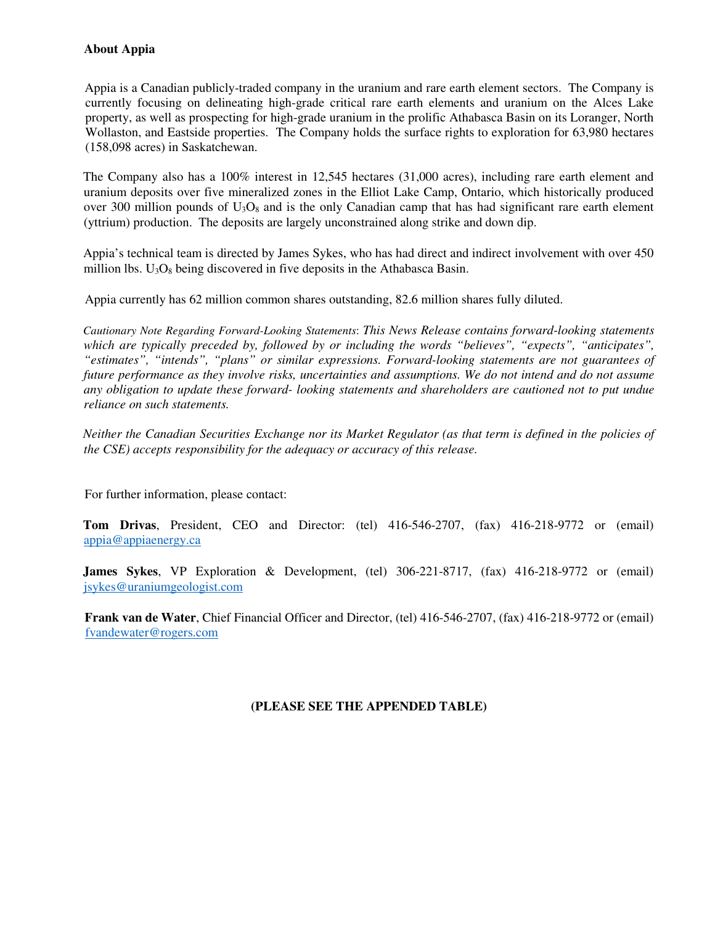## **About Appia**

Appia is a Canadian publicly-traded company in the uranium and rare earth element sectors. The Company is currently focusing on delineating high-grade critical rare earth elements and uranium on the Alces Lake property, as well as prospecting for high-grade uranium in the prolific Athabasca Basin on its Loranger, North Wollaston, and Eastside properties. The Company holds the surface rights to exploration for 63,980 hectares (158,098 acres) in Saskatchewan.

The Company also has a 100% interest in 12,545 hectares (31,000 acres), including rare earth element and uranium deposits over five mineralized zones in the Elliot Lake Camp, Ontario, which historically produced over 300 million pounds of  $U_3O_8$  and is the only Canadian camp that has had significant rare earth element (yttrium) production. The deposits are largely unconstrained along strike and down dip.

Appia's technical team is directed by James Sykes, who has had direct and indirect involvement with over 450 million lbs.  $U_3O_8$  being discovered in five deposits in the Athabasca Basin.

Appia currently has 62 million common shares outstanding, 82.6 million shares fully diluted.

*Cautionary Note Regarding Forward-Looking Statements*: *This News Release contains forward-looking statements which are typically preceded by, followed by or including the words "believes", "expects", "anticipates", "estimates", "intends", "plans" or similar expressions. Forward-looking statements are not guarantees of future performance as they involve risks, uncertainties and assumptions. We do not intend and do not assume any obligation to update these forward- looking statements and shareholders are cautioned not to put undue reliance on such statements.* 

*Neither the Canadian Securities Exchange nor its Market Regulator (as that term is defined in the policies of the CSE) accepts responsibility for the adequacy or accuracy of this release.* 

For further information, please contact:

**Tom Drivas**, President, CEO and Director: (tel) 416-546-2707, (fax) 416-218-9772 or (email) appia@appiaenergy.ca

**James Sykes**, VP Exploration & Development, (tel) 306-221-8717, (fax) 416-218-9772 or (email) jsykes@uraniumgeologist.com

**Frank van de Water**, Chief Financial Officer and Director, (tel) 416-546-2707, (fax) 416-218-9772 or (email) fvandewater@rogers.com

## **(PLEASE SEE THE APPENDED TABLE)**